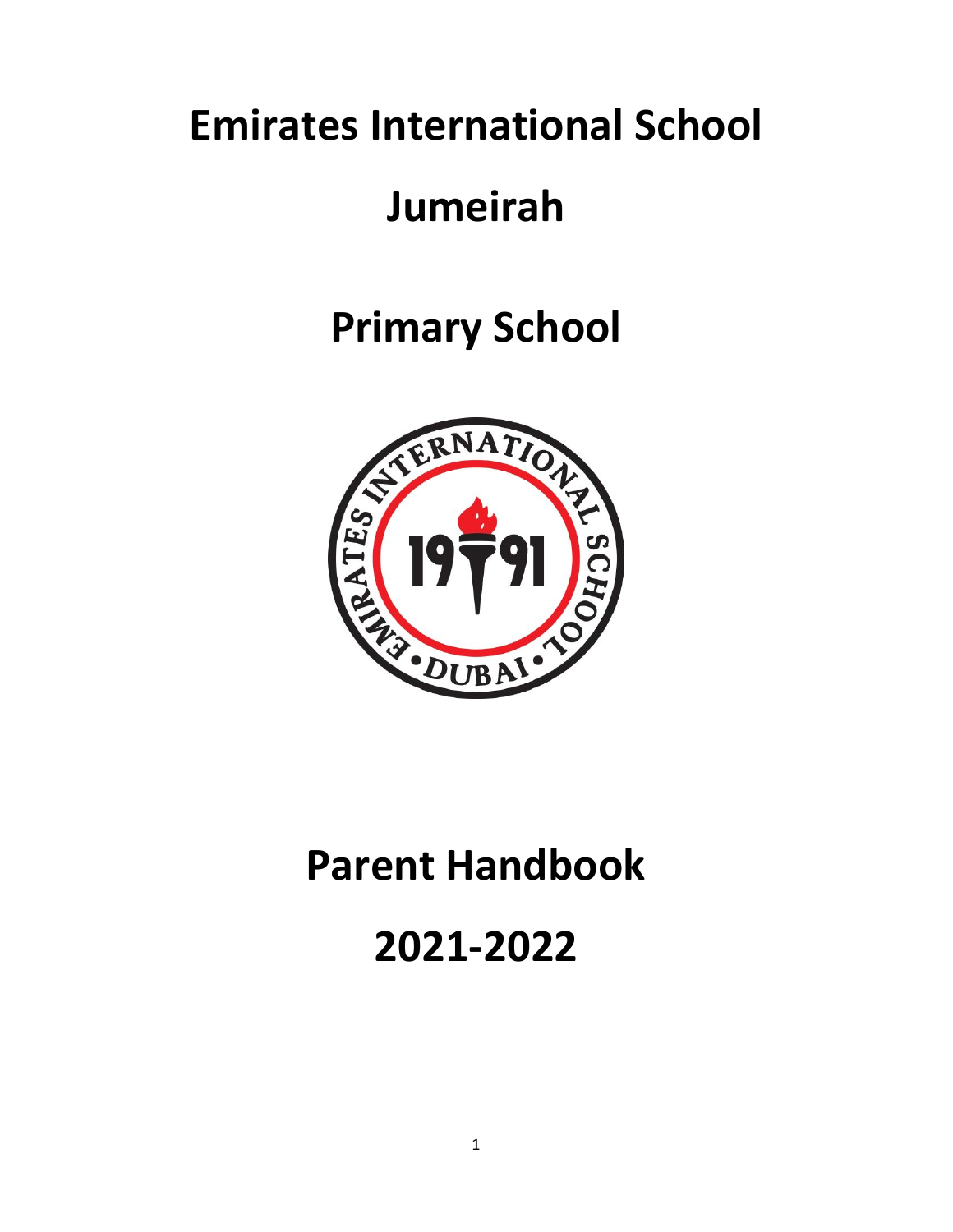# **Emirates International School**

## **Jumeirah**

# **Primary School**



## **Parent Handbook**

## **2021-2022**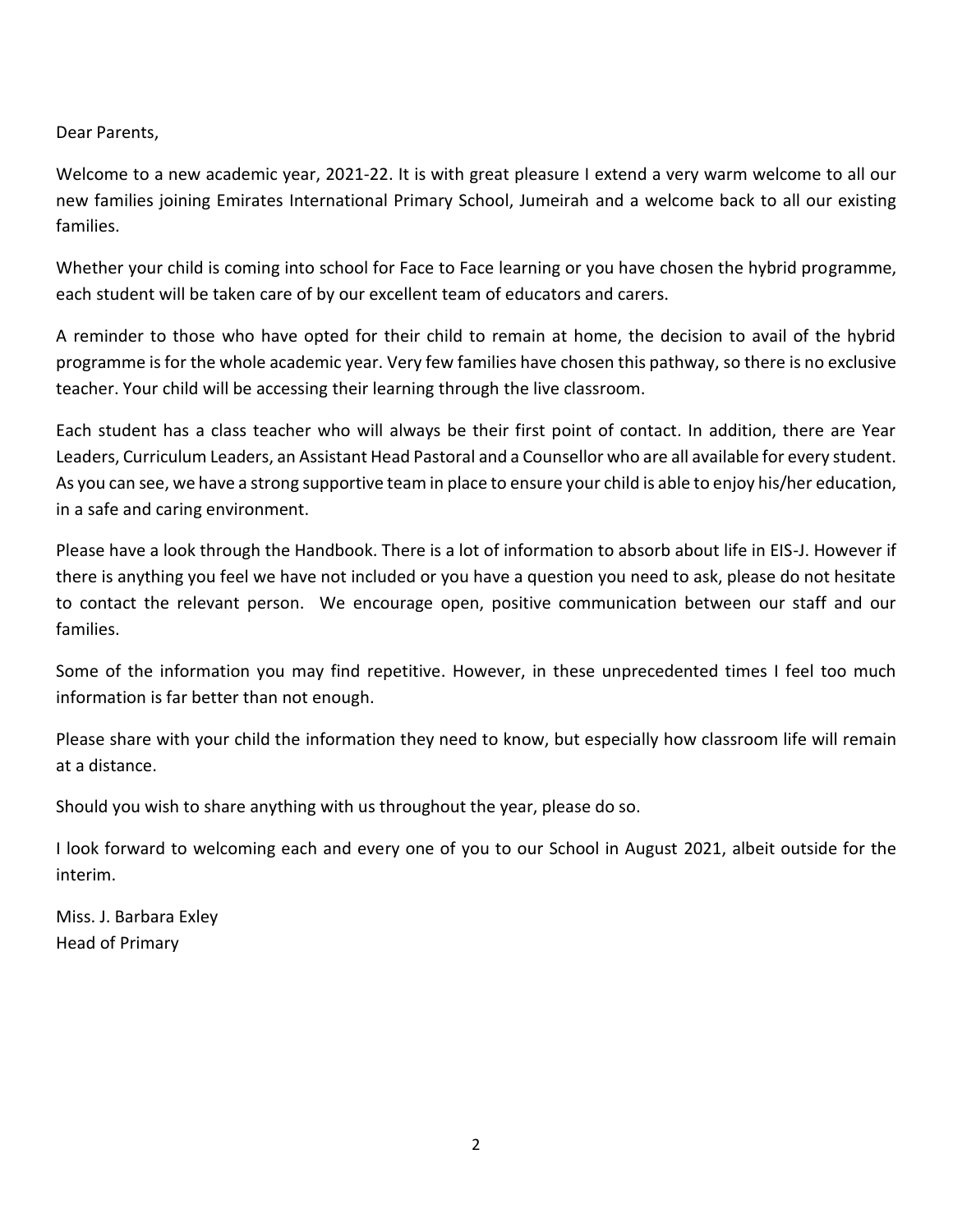Dear Parents,

Welcome to a new academic year, 2021-22. It is with great pleasure I extend a very warm welcome to all our new families joining Emirates International Primary School, Jumeirah and a welcome back to all our existing families.

Whether your child is coming into school for Face to Face learning or you have chosen the hybrid programme, each student will be taken care of by our excellent team of educators and carers.

A reminder to those who have opted for their child to remain at home, the decision to avail of the hybrid programme is for the whole academic year. Very few families have chosen this pathway, so there is no exclusive teacher. Your child will be accessing their learning through the live classroom.

Each student has a class teacher who will always be their first point of contact. In addition, there are Year Leaders, Curriculum Leaders, an Assistant Head Pastoral and a Counsellor who are all available for every student. As you can see, we have a strong supportive team in place to ensure your child is able to enjoy his/her education, in a safe and caring environment.

Please have a look through the Handbook. There is a lot of information to absorb about life in EIS-J. However if there is anything you feel we have not included or you have a question you need to ask, please do not hesitate to contact the relevant person. We encourage open, positive communication between our staff and our families.

Some of the information you may find repetitive. However, in these unprecedented times I feel too much information is far better than not enough.

Please share with your child the information they need to know, but especially how classroom life will remain at a distance.

Should you wish to share anything with us throughout the year, please do so.

I look forward to welcoming each and every one of you to our School in August 2021, albeit outside for the interim.

Miss. J. Barbara Exley Head of Primary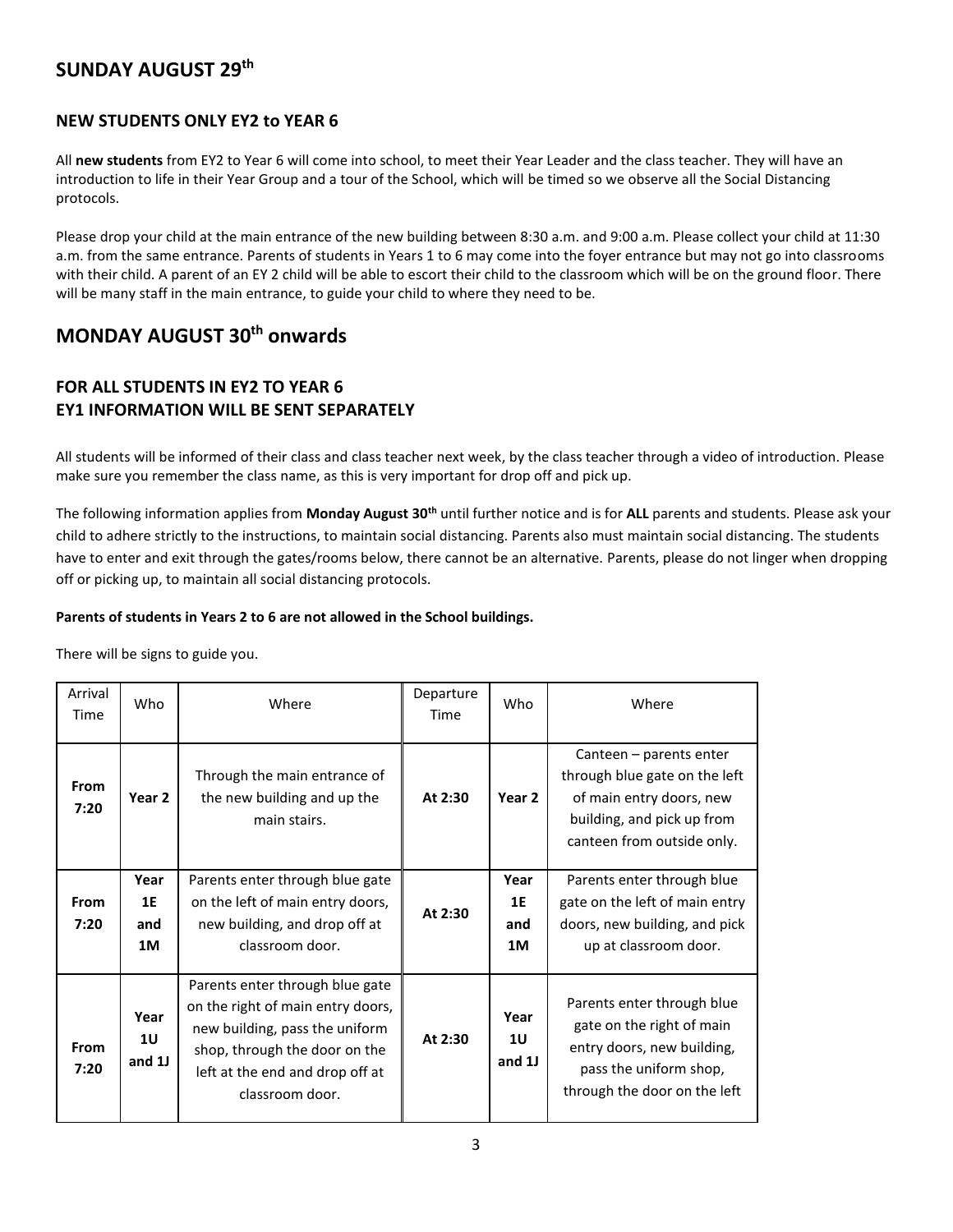### **SUNDAY AUGUST 29th**

#### **NEW STUDENTS ONLY EY2 to YEAR 6**

All **new students** from EY2 to Year 6 will come into school, to meet their Year Leader and the class teacher. They will have an introduction to life in their Year Group and a tour of the School, which will be timed so we observe all the Social Distancing protocols.

Please drop your child at the main entrance of the new building between 8:30 a.m. and 9:00 a.m. Please collect your child at 11:30 a.m. from the same entrance. Parents of students in Years 1 to 6 may come into the foyer entrance but may not go into classrooms with their child. A parent of an EY 2 child will be able to escort their child to the classroom which will be on the ground floor. There will be many staff in the main entrance, to guide your child to where they need to be.

### **MONDAY AUGUST 30th onwards**

### **FOR ALL STUDENTS IN EY2 TO YEAR 6 EY1 INFORMATION WILL BE SENT SEPARATELY**

All students will be informed of their class and class teacher next week, by the class teacher through a video of introduction. Please make sure you remember the class name, as this is very important for drop off and pick up.

The following information applies from **Monday August 30th** until further notice and is for **ALL** parents and students. Please ask your child to adhere strictly to the instructions, to maintain social distancing. Parents also must maintain social distancing. The students have to enter and exit through the gates/rooms below, there cannot be an alternative. Parents, please do not linger when dropping off or picking up, to maintain all social distancing protocols.

#### **Parents of students in Years 2 to 6 are not allowed in the School buildings.**

There will be signs to guide you.

| Arrival<br>Time     | Who                            | Where                                                                                                                                                                                         | Departure<br>Time | Who                              | Where                                                                                                                                            |
|---------------------|--------------------------------|-----------------------------------------------------------------------------------------------------------------------------------------------------------------------------------------------|-------------------|----------------------------------|--------------------------------------------------------------------------------------------------------------------------------------------------|
| From<br>7:20        | Year <sub>2</sub>              | Through the main entrance of<br>the new building and up the<br>main stairs.                                                                                                                   | At 2:30           | Year 2                           | Canteen – parents enter<br>through blue gate on the left<br>of main entry doors, new<br>building, and pick up from<br>canteen from outside only. |
| From<br>7:20        | Year<br><b>1E</b><br>and<br>1M | Parents enter through blue gate<br>on the left of main entry doors,<br>new building, and drop off at<br>classroom door.                                                                       | At 2:30           | Year<br><b>1E</b><br>and<br>1M   | Parents enter through blue<br>gate on the left of main entry<br>doors, new building, and pick<br>up at classroom door.                           |
| <b>From</b><br>7:20 | Year<br><b>1U</b><br>and 1J    | Parents enter through blue gate<br>on the right of main entry doors,<br>new building, pass the uniform<br>shop, through the door on the<br>left at the end and drop off at<br>classroom door. | At 2:30           | Year<br>1 <sub>U</sub><br>and 1J | Parents enter through blue<br>gate on the right of main<br>entry doors, new building,<br>pass the uniform shop,<br>through the door on the left  |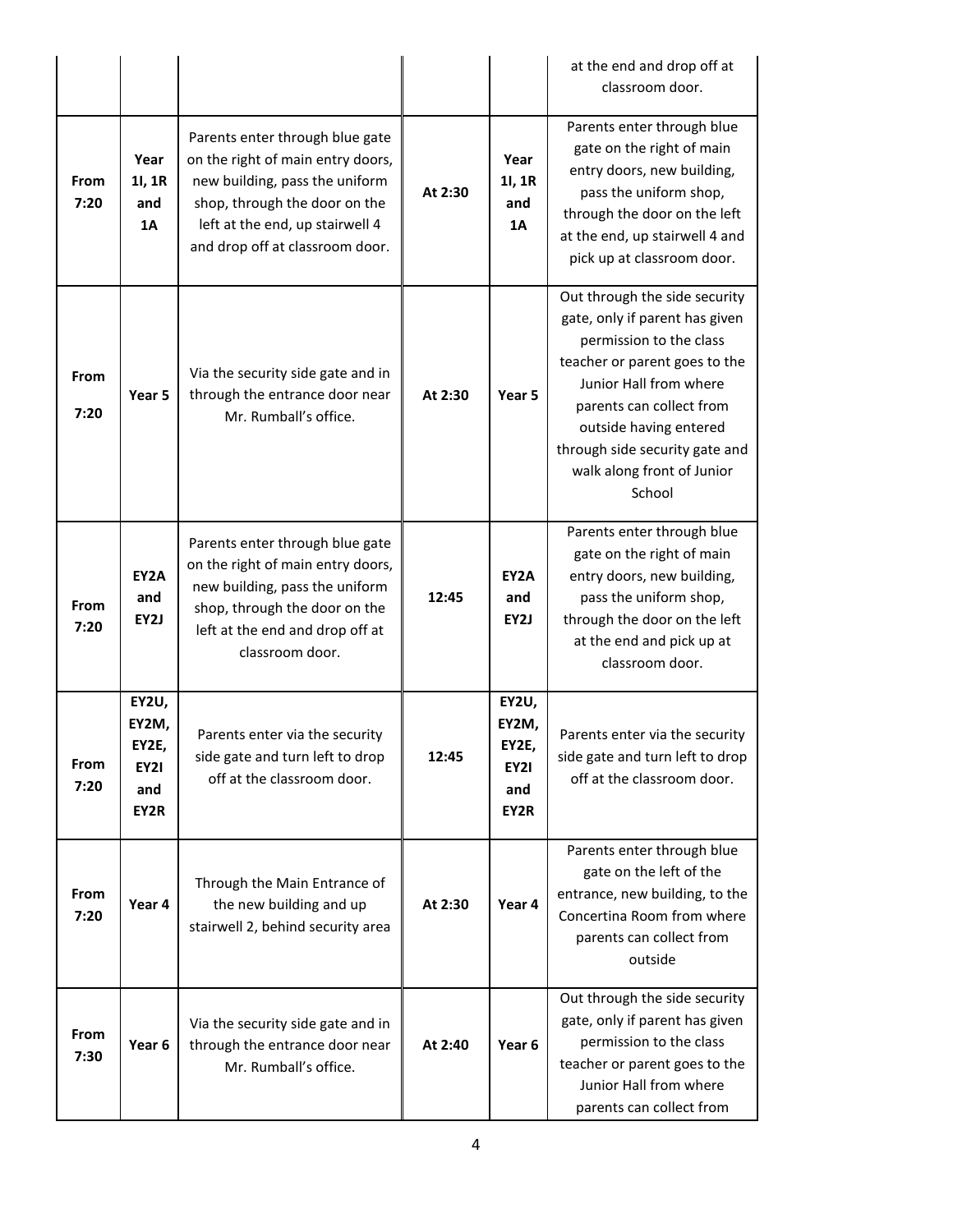|              |                                                       |                                                                                                                                                                                                               |         |                                                       | at the end and drop off at<br>classroom door.                                                                                                                                                                                                                                         |
|--------------|-------------------------------------------------------|---------------------------------------------------------------------------------------------------------------------------------------------------------------------------------------------------------------|---------|-------------------------------------------------------|---------------------------------------------------------------------------------------------------------------------------------------------------------------------------------------------------------------------------------------------------------------------------------------|
| From<br>7:20 | Year<br>11, 1R<br>and<br>1A                           | Parents enter through blue gate<br>on the right of main entry doors,<br>new building, pass the uniform<br>shop, through the door on the<br>left at the end, up stairwell 4<br>and drop off at classroom door. | At 2:30 | Year<br>11, 1R<br>and<br>1A                           | Parents enter through blue<br>gate on the right of main<br>entry doors, new building,<br>pass the uniform shop,<br>through the door on the left<br>at the end, up stairwell 4 and<br>pick up at classroom door.                                                                       |
| From<br>7:20 | Year <sub>5</sub>                                     | Via the security side gate and in<br>through the entrance door near<br>Mr. Rumball's office.                                                                                                                  | At 2:30 | Year 5                                                | Out through the side security<br>gate, only if parent has given<br>permission to the class<br>teacher or parent goes to the<br>Junior Hall from where<br>parents can collect from<br>outside having entered<br>through side security gate and<br>walk along front of Junior<br>School |
| From<br>7:20 | EY2A<br>and<br>EY2J                                   | Parents enter through blue gate<br>on the right of main entry doors,<br>new building, pass the uniform<br>shop, through the door on the<br>left at the end and drop off at<br>classroom door.                 | 12:45   | EY2A<br>and<br>EY2J                                   | Parents enter through blue<br>gate on the right of main<br>entry doors, new building,<br>pass the uniform shop,<br>through the door on the left<br>at the end and pick up at<br>classroom door.                                                                                       |
| From<br>7:20 | EY2U,<br>EY2M,<br>EY2E,<br><b>EY21</b><br>and<br>EY2R | Parents enter via the security<br>side gate and turn left to drop<br>off at the classroom door.                                                                                                               | 12:45   | EY2U,<br>EY2M,<br>EY2E,<br><b>EY21</b><br>and<br>EY2R | Parents enter via the security<br>side gate and turn left to drop<br>off at the classroom door.                                                                                                                                                                                       |
| From<br>7:20 | Year 4                                                | Through the Main Entrance of<br>the new building and up<br>stairwell 2, behind security area                                                                                                                  | At 2:30 | Year 4                                                | Parents enter through blue<br>gate on the left of the<br>entrance, new building, to the<br>Concertina Room from where<br>parents can collect from<br>outside                                                                                                                          |
| From<br>7:30 | Year 6                                                | Via the security side gate and in<br>through the entrance door near<br>Mr. Rumball's office.                                                                                                                  | At 2:40 | Year 6                                                | Out through the side security<br>gate, only if parent has given<br>permission to the class<br>teacher or parent goes to the<br>Junior Hall from where<br>parents can collect from                                                                                                     |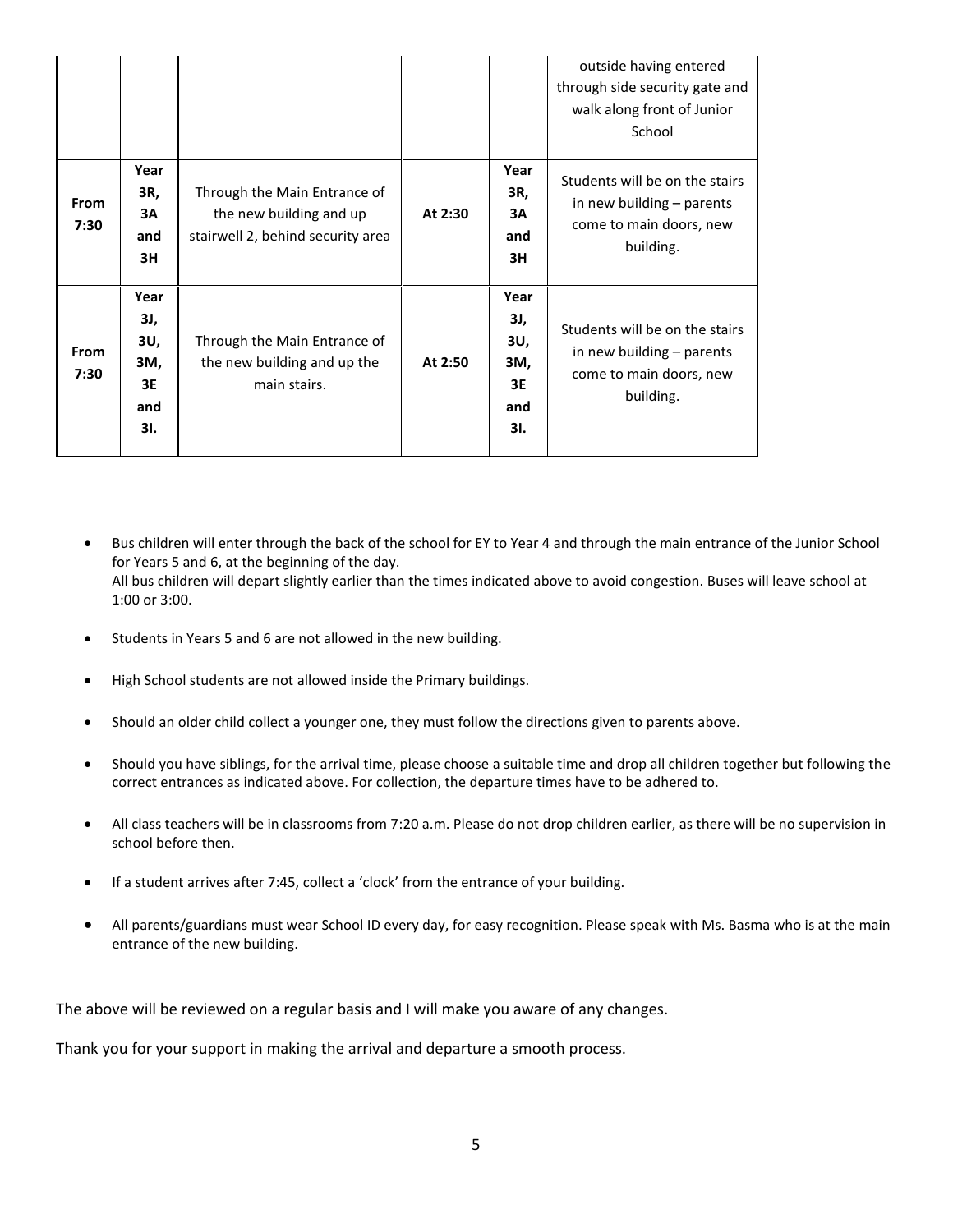|                     |                                               |                                                                                              |         |                                               | outside having entered<br>through side security gate and<br>walk along front of Junior<br>School    |
|---------------------|-----------------------------------------------|----------------------------------------------------------------------------------------------|---------|-----------------------------------------------|-----------------------------------------------------------------------------------------------------|
| <b>From</b><br>7:30 | Year<br>3R,<br>3A<br>and<br>3H                | Through the Main Entrance of<br>the new building and up<br>stairwell 2, behind security area | At 2:30 | Year<br>3R,<br>3A<br>and<br>3H                | Students will be on the stairs<br>in new building - parents<br>come to main doors, new<br>building. |
| <b>From</b><br>7:30 | Year<br>3J,<br>3U,<br>3M,<br>3E<br>and<br>3I. | Through the Main Entrance of<br>the new building and up the<br>main stairs.                  | At 2:50 | Year<br>3J,<br>3U,<br>3M,<br>3E<br>and<br>3I. | Students will be on the stairs<br>in new building - parents<br>come to main doors, new<br>building. |

- Bus children will enter through the back of the school for EY to Year 4 and through the main entrance of the Junior School for Years 5 and 6, at the beginning of the day. All bus children will depart slightly earlier than the times indicated above to avoid congestion. Buses will leave school at 1:00 or 3:00.
- Students in Years 5 and 6 are not allowed in the new building.
- High School students are not allowed inside the Primary buildings.
- Should an older child collect a younger one, they must follow the directions given to parents above.
- Should you have siblings, for the arrival time, please choose a suitable time and drop all children together but following the correct entrances as indicated above. For collection, the departure times have to be adhered to.
- All class teachers will be in classrooms from 7:20 a.m. Please do not drop children earlier, as there will be no supervision in school before then.
- If a student arrives after 7:45, collect a 'clock' from the entrance of your building.
- All parents/guardians must wear School ID every day, for easy recognition. Please speak with Ms. Basma who is at the main entrance of the new building.

The above will be reviewed on a regular basis and I will make you aware of any changes.

Thank you for your support in making the arrival and departure a smooth process.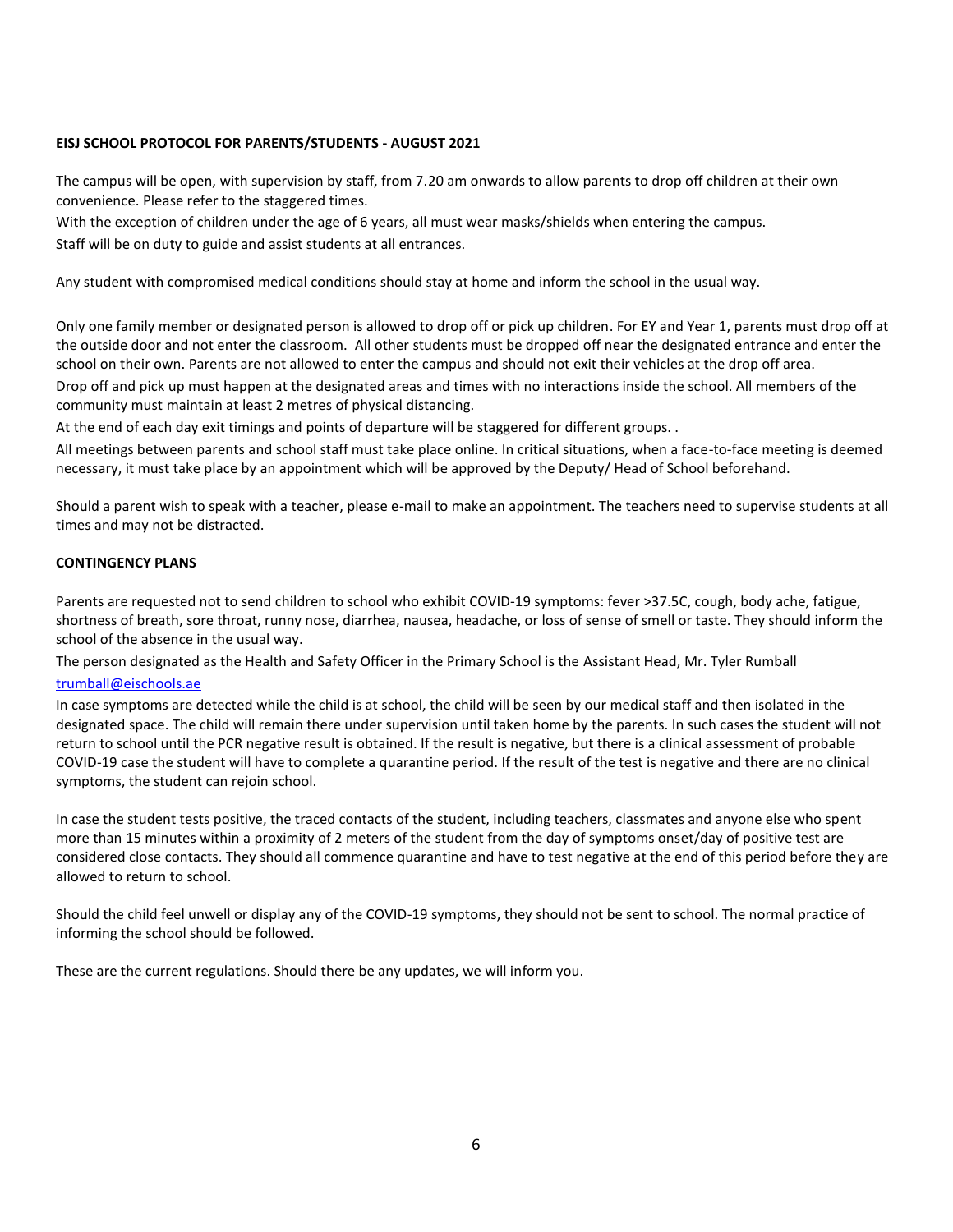#### **EISJ SCHOOL PROTOCOL FOR PARENTS/STUDENTS - AUGUST 2021**

The campus will be open, with supervision by staff, from 7.20 am onwards to allow parents to drop off children at their own convenience. Please refer to the staggered times.

With the exception of children under the age of 6 years, all must wear masks/shields when entering the campus. Staff will be on duty to guide and assist students at all entrances.

Any student with compromised medical conditions should stay at home and inform the school in the usual way.

Only one family member or designated person is allowed to drop off or pick up children. For EY and Year 1, parents must drop off at the outside door and not enter the classroom. All other students must be dropped off near the designated entrance and enter the school on their own. Parents are not allowed to enter the campus and should not exit their vehicles at the drop off area. Drop off and pick up must happen at the designated areas and times with no interactions inside the school. All members of the community must maintain at least 2 metres of physical distancing.

At the end of each day exit timings and points of departure will be staggered for different groups. .

All meetings between parents and school staff must take place online. In critical situations, when a face-to-face meeting is deemed necessary, it must take place by an appointment which will be approved by the Deputy/ Head of School beforehand.

Should a parent wish to speak with a teacher, please e-mail to make an appointment. The teachers need to supervise students at all times and may not be distracted.

#### **CONTINGENCY PLANS**

Parents are requested not to send children to school who exhibit COVID-19 symptoms: fever >37.5C, cough, body ache, fatigue, shortness of breath, sore throat, runny nose, diarrhea, nausea, headache, or loss of sense of smell or taste. They should inform the school of the absence in the usual way.

The person designated as the Health and Safety Officer in the Primary School is the Assistant Head, Mr. Tyler Rumball [trumball@eischools.ae](mailto:trumball@eischools.ae)

In case symptoms are detected while the child is at school, the child will be seen by our medical staff and then isolated in the designated space. The child will remain there under supervision until taken home by the parents. In such cases the student will not return to school until the PCR negative result is obtained. If the result is negative, but there is a clinical assessment of probable COVID-19 case the student will have to complete a quarantine period. If the result of the test is negative and there are no clinical symptoms, the student can rejoin school.

In case the student tests positive, the traced contacts of the student, including teachers, classmates and anyone else who spent more than 15 minutes within a proximity of 2 meters of the student from the day of symptoms onset/day of positive test are considered close contacts. They should all commence quarantine and have to test negative at the end of this period before they are allowed to return to school.

Should the child feel unwell or display any of the COVID-19 symptoms, they should not be sent to school. The normal practice of informing the school should be followed.

These are the current regulations. Should there be any updates, we will inform you.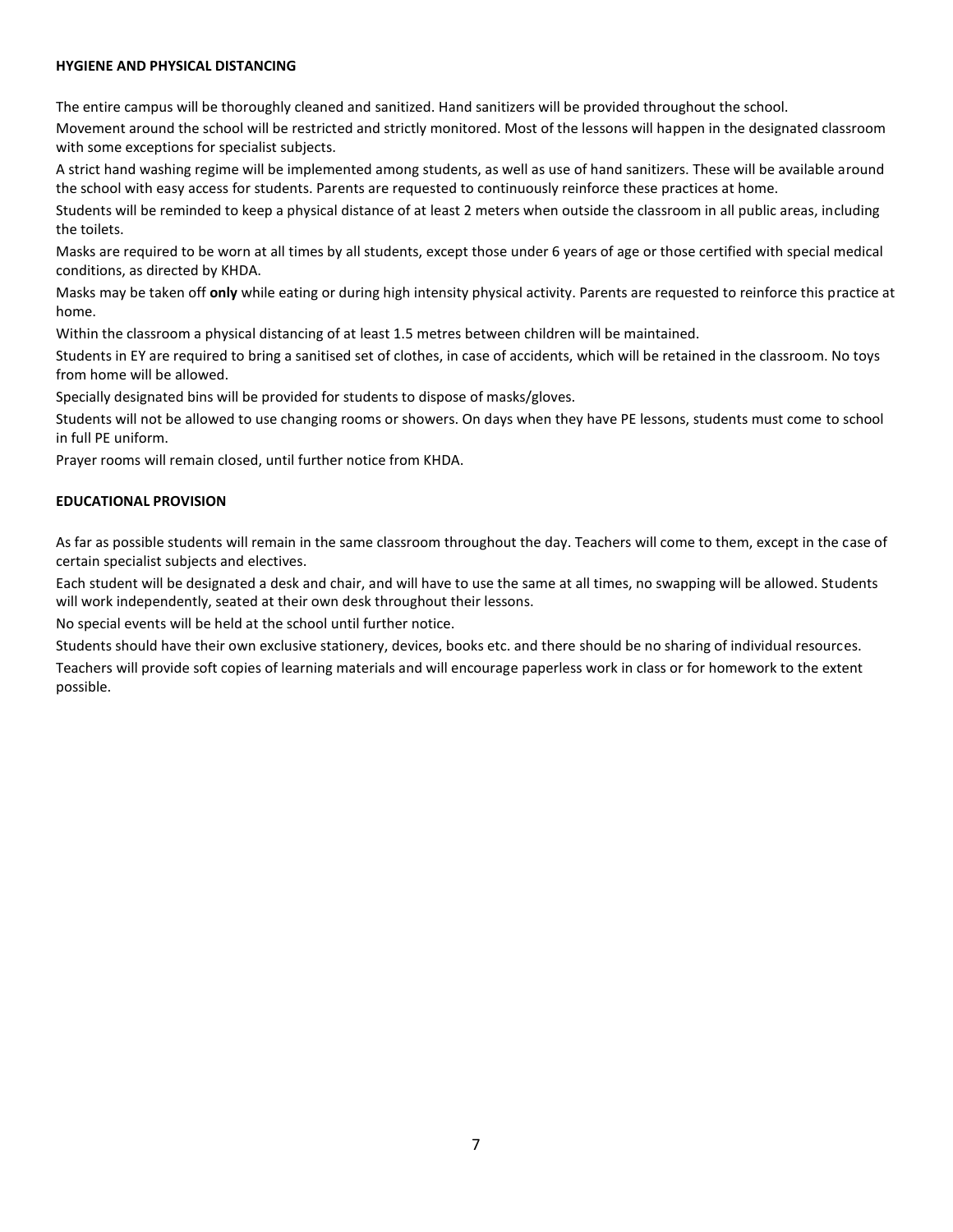#### **HYGIENE AND PHYSICAL DISTANCING**

The entire campus will be thoroughly cleaned and sanitized. Hand sanitizers will be provided throughout the school.

Movement around the school will be restricted and strictly monitored. Most of the lessons will happen in the designated classroom with some exceptions for specialist subjects.

A strict hand washing regime will be implemented among students, as well as use of hand sanitizers. These will be available around the school with easy access for students. Parents are requested to continuously reinforce these practices at home.

Students will be reminded to keep a physical distance of at least 2 meters when outside the classroom in all public areas, including the toilets.

Masks are required to be worn at all times by all students, except those under 6 years of age or those certified with special medical conditions, as directed by KHDA.

Masks may be taken off **only** while eating or during high intensity physical activity. Parents are requested to reinforce this practice at home.

Within the classroom a physical distancing of at least 1.5 metres between children will be maintained.

Students in EY are required to bring a sanitised set of clothes, in case of accidents, which will be retained in the classroom. No toys from home will be allowed.

Specially designated bins will be provided for students to dispose of masks/gloves.

Students will not be allowed to use changing rooms or showers. On days when they have PE lessons, students must come to school in full PE uniform.

Prayer rooms will remain closed, until further notice from KHDA.

#### **EDUCATIONAL PROVISION**

As far as possible students will remain in the same classroom throughout the day. Teachers will come to them, except in the case of certain specialist subjects and electives.

Each student will be designated a desk and chair, and will have to use the same at all times, no swapping will be allowed. Students will work independently, seated at their own desk throughout their lessons.

No special events will be held at the school until further notice.

Students should have their own exclusive stationery, devices, books etc. and there should be no sharing of individual resources. Teachers will provide soft copies of learning materials and will encourage paperless work in class or for homework to the extent possible.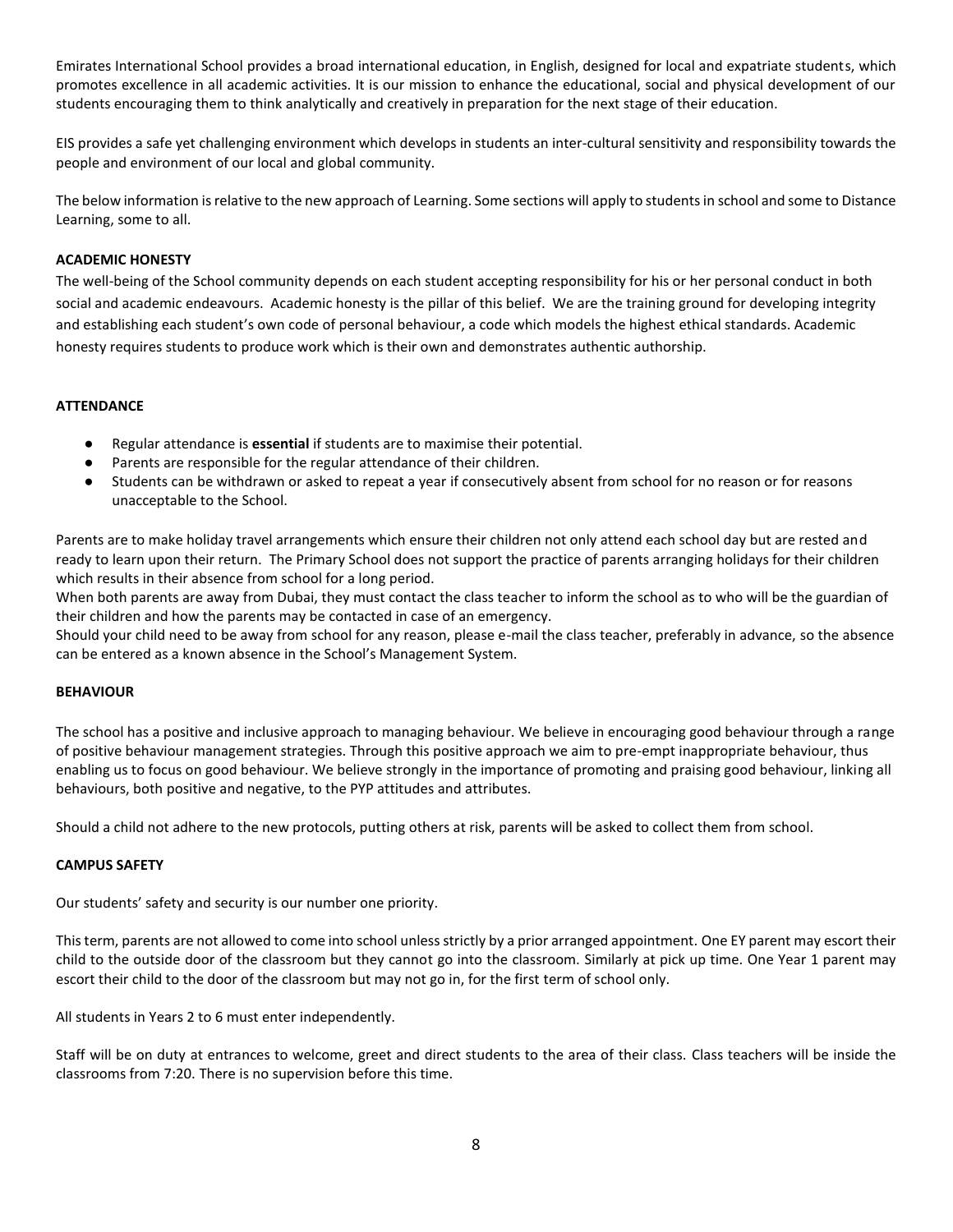Emirates International School provides a broad international education, in English, designed for local and expatriate students, which promotes excellence in all academic activities. It is our mission to enhance the educational, social and physical development of our students encouraging them to think analytically and creatively in preparation for the next stage of their education.

EIS provides a safe yet challenging environment which develops in students an inter-cultural sensitivity and responsibility towards the people and environment of our local and global community.

The below information is relative to the new approach of Learning. Some sections will apply to students in school and some to Distance Learning, some to all.

#### **ACADEMIC HONESTY**

The well-being of the School community depends on each student accepting responsibility for his or her personal conduct in both social and academic endeavours. Academic honesty is the pillar of this belief. We are the training ground for developing integrity and establishing each student's own code of personal behaviour, a code which models the highest ethical standards. Academic honesty requires students to produce work which is their own and demonstrates authentic authorship.

#### **ATTENDANCE**

- Regular attendance is **essential** if students are to maximise their potential.
- Parents are responsible for the regular attendance of their children.
- Students can be withdrawn or asked to repeat a year if consecutively absent from school for no reason or for reasons unacceptable to the School.

Parents are to make holiday travel arrangements which ensure their children not only attend each school day but are rested and ready to learn upon their return. The Primary School does not support the practice of parents arranging holidays for their children which results in their absence from school for a long period.

When both parents are away from Dubai, they must contact the class teacher to inform the school as to who will be the guardian of their children and how the parents may be contacted in case of an emergency.

Should your child need to be away from school for any reason, please e-mail the class teacher, preferably in advance, so the absence can be entered as a known absence in the School's Management System.

#### **BEHAVIOUR**

The school has a positive and inclusive approach to managing behaviour. We believe in encouraging good behaviour through a range of positive behaviour management strategies. Through this positive approach we aim to pre-empt inappropriate behaviour, thus enabling us to focus on good behaviour. We believe strongly in the importance of promoting and praising good behaviour, linking all behaviours, both positive and negative, to the PYP attitudes and attributes.

Should a child not adhere to the new protocols, putting others at risk, parents will be asked to collect them from school.

#### **CAMPUS SAFETY**

Our students' safety and security is our number one priority.

This term, parents are not allowed to come into school unless strictly by a prior arranged appointment. One EY parent may escort their child to the outside door of the classroom but they cannot go into the classroom. Similarly at pick up time. One Year 1 parent may escort their child to the door of the classroom but may not go in, for the first term of school only.

All students in Years 2 to 6 must enter independently.

Staff will be on duty at entrances to welcome, greet and direct students to the area of their class. Class teachers will be inside the classrooms from 7:20. There is no supervision before this time.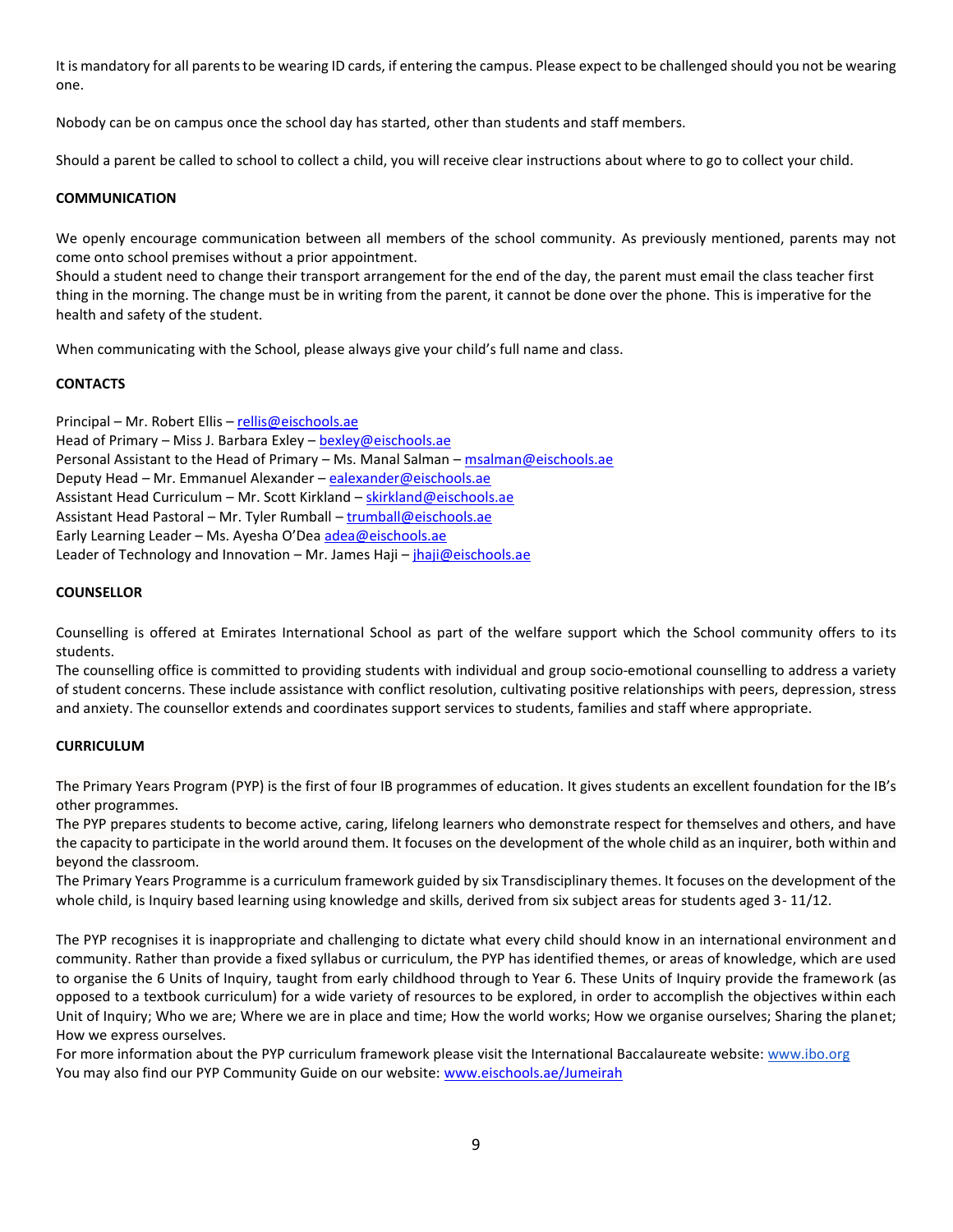It is mandatory for all parents to be wearing ID cards, if entering the campus. Please expect to be challenged should you not be wearing one.

Nobody can be on campus once the school day has started, other than students and staff members.

Should a parent be called to school to collect a child, you will receive clear instructions about where to go to collect your child.

#### **COMMUNICATION**

We openly encourage communication between all members of the school community. As previously mentioned, parents may not come onto school premises without a prior appointment.

Should a student need to change their transport arrangement for the end of the day, the parent must email the class teacher first thing in the morning. The change must be in writing from the parent, it cannot be done over the phone. This is imperative for the health and safety of the student.

When communicating with the School, please always give your child's full name and class.

#### **CONTACTS**

Principal – Mr. Robert Ellis – [rellis@eischools.ae](mailto:rellis@eischools.ae) Head of Primary – Miss J. Barbara Exley – [bexley@eischools.ae](mailto:bexley@eischools.ae) Personal Assistant to the Head of Primary - Ms. Manal Salman - [msalman@eischools.ae](mailto:msalman@eischools.ae) Deputy Head – Mr. Emmanuel Alexander – [ealexander@eischools.ae](mailto:ealexander@eischools.ae) Assistant Head Curriculum – Mr. Scott Kirkland – [skirkland@eischools.ae](mailto:skirkland@eischools.ae) Assistant Head Pastoral – Mr. Tyler Rumball – [trumball@eischools.ae](mailto:trumball@eischools.ae) Early Learning Leader - Ms. Ayesha O'Dea [adea@eischools.ae](mailto:adea@eischools.ae) Leader of Technology and Innovation – Mr. James Haji –  $jhaji@e$ ischools.ae

#### **COUNSELLOR**

Counselling is offered at Emirates International School as part of the welfare support which the School community offers to its students.

The counselling office is committed to providing students with individual and group socio-emotional counselling to address a variety of student concerns. These include assistance with conflict resolution, cultivating positive relationships with peers, depression, stress and anxiety. The counsellor extends and coordinates support services to students, families and staff where appropriate.

#### **CURRICULUM**

The Primary Years Program (PYP) is the first of four IB programmes of education. It gives students an excellent foundation for the IB's other programmes.

The PYP prepares students to become active, caring, lifelong learners who demonstrate respect for themselves and others, and have the capacity to participate in the world around them. It focuses on the development of the whole child as an inquirer, both within and beyond the classroom.

The Primary Years Programme is a curriculum framework guided by six Transdisciplinary themes. It focuses on the development of the whole child, is Inquiry based learning using knowledge and skills, derived from six subject areas for students aged 3-11/12.

The PYP recognises it is inappropriate and challenging to dictate what every child should know in an international environment and community. Rather than provide a fixed syllabus or curriculum, the PYP has identified themes, or areas of knowledge, which are used to organise the 6 Units of Inquiry, taught from early childhood through to Year 6. These Units of Inquiry provide the framework (as opposed to a textbook curriculum) for a wide variety of resources to be explored, in order to accomplish the objectives within each Unit of Inquiry; Who we are; Where we are in place and time; How the world works; How we organise ourselves; Sharing the planet; How we express ourselves.

For more information about the PYP curriculum framework please visit the International Baccalaureate website: [www.ibo.org](http://www.ibo.org/) You may also find our PYP Community Guide on our website: [www.eischools.ae/Jumeirah](http://www.eischools.ae/Jumeirah)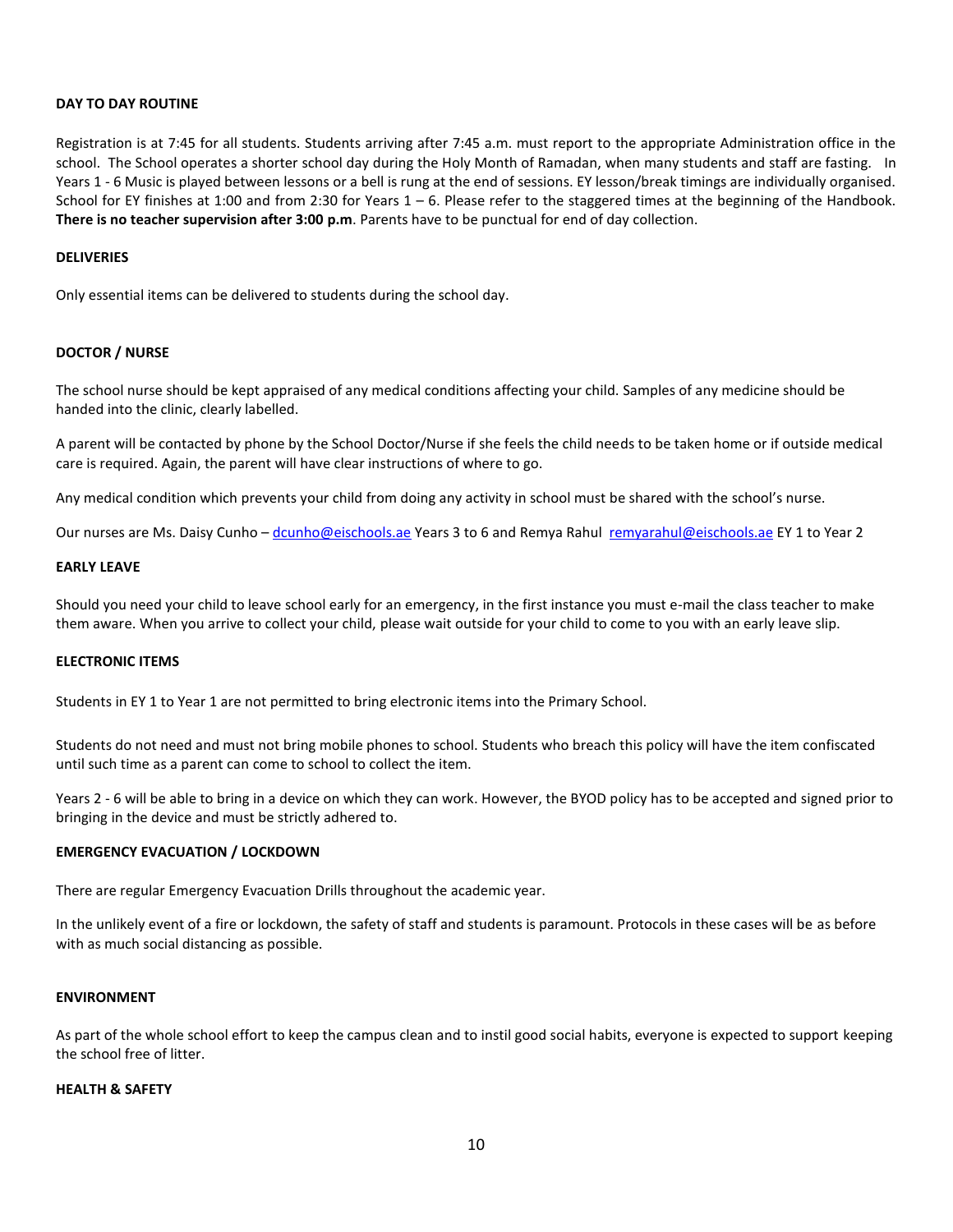#### **DAY TO DAY ROUTINE**

Registration is at 7:45 for all students. Students arriving after 7:45 a.m. must report to the appropriate Administration office in the school. The School operates a shorter school day during the Holy Month of Ramadan, when many students and staff are fasting. In Years 1 - 6 Music is played between lessons or a bell is rung at the end of sessions. EY lesson/break timings are individually organised. School for EY finishes at 1:00 and from 2:30 for Years  $1 - 6$ . Please refer to the staggered times at the beginning of the Handbook. **There is no teacher supervision after 3:00 p.m**. Parents have to be punctual for end of day collection.

#### **DELIVERIES**

Only essential items can be delivered to students during the school day.

#### **DOCTOR / NURSE**

The school nurse should be kept appraised of any medical conditions affecting your child. Samples of any medicine should be handed into the clinic, clearly labelled.

A parent will be contacted by phone by the School Doctor/Nurse if she feels the child needs to be taken home or if outside medical care is required. Again, the parent will have clear instructions of where to go.

Any medical condition which prevents your child from doing any activity in school must be shared with the school's nurse.

Our nurses are Ms. Daisy Cunho – [dcunho@eischools.ae](mailto:dcunho@eischools.ae) Years 3 to 6 and Remya Rahul [remyarahul@eischools.ae](mailto:remyarahul@eischools.ae) EY 1 to Year 2

#### **EARLY LEAVE**

Should you need your child to leave school early for an emergency, in the first instance you must e-mail the class teacher to make them aware. When you arrive to collect your child, please wait outside for your child to come to you with an early leave slip.

#### **ELECTRONIC ITEMS**

Students in EY 1 to Year 1 are not permitted to bring electronic items into the Primary School.

Students do not need and must not bring mobile phones to school. Students who breach this policy will have the item confiscated until such time as a parent can come to school to collect the item.

Years 2 - 6 will be able to bring in a device on which they can work. However, the BYOD policy has to be accepted and signed prior to bringing in the device and must be strictly adhered to.

#### **EMERGENCY EVACUATION / LOCKDOWN**

There are regular Emergency Evacuation Drills throughout the academic year.

In the unlikely event of a fire or lockdown, the safety of staff and students is paramount. Protocols in these cases will be as before with as much social distancing as possible.

#### **ENVIRONMENT**

As part of the whole school effort to keep the campus clean and to instil good social habits, everyone is expected to support keeping the school free of litter.

#### **HEALTH & SAFETY**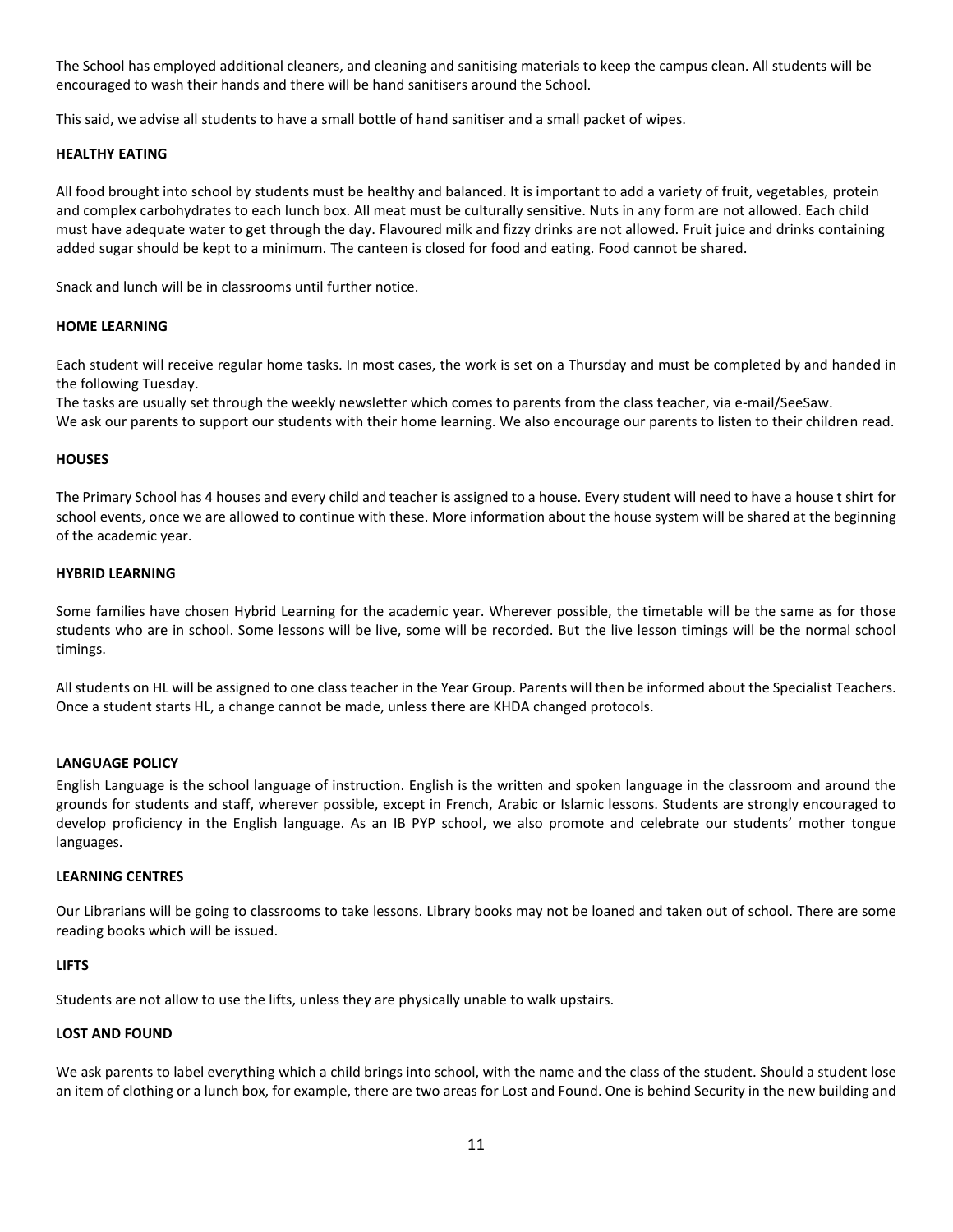The School has employed additional cleaners, and cleaning and sanitising materials to keep the campus clean. All students will be encouraged to wash their hands and there will be hand sanitisers around the School.

This said, we advise all students to have a small bottle of hand sanitiser and a small packet of wipes.

#### **HEALTHY EATING**

All food brought into school by students must be healthy and balanced. It is important to add a variety of fruit, vegetables, protein and complex carbohydrates to each lunch box. All meat must be culturally sensitive. Nuts in any form are not allowed. Each child must have adequate water to get through the day. Flavoured milk and fizzy drinks are not allowed. Fruit juice and drinks containing added sugar should be kept to a minimum. The canteen is closed for food and eating. Food cannot be shared.

Snack and lunch will be in classrooms until further notice.

#### **HOME LEARNING**

Each student will receive regular home tasks. In most cases, the work is set on a Thursday and must be completed by and handed in the following Tuesday.

The tasks are usually set through the weekly newsletter which comes to parents from the class teacher, via e-mail/SeeSaw.

We ask our parents to support our students with their home learning. We also encourage our parents to listen to their children read.

#### **HOUSES**

The Primary School has 4 houses and every child and teacher is assigned to a house. Every student will need to have a house t shirt for school events, once we are allowed to continue with these. More information about the house system will be shared at the beginning of the academic year.

#### **HYBRID LEARNING**

Some families have chosen Hybrid Learning for the academic year. Wherever possible, the timetable will be the same as for those students who are in school. Some lessons will be live, some will be recorded. But the live lesson timings will be the normal school timings.

All students on HL will be assigned to one class teacher in the Year Group. Parents will then be informed about the Specialist Teachers. Once a student starts HL, a change cannot be made, unless there are KHDA changed protocols.

#### **LANGUAGE POLICY**

English Language is the school language of instruction. English is the written and spoken language in the classroom and around the grounds for students and staff, wherever possible, except in French, Arabic or Islamic lessons. Students are strongly encouraged to develop proficiency in the English language. As an IB PYP school, we also promote and celebrate our students' mother tongue languages.

#### **LEARNING CENTRES**

Our Librarians will be going to classrooms to take lessons. Library books may not be loaned and taken out of school. There are some reading books which will be issued.

#### **LIFTS**

Students are not allow to use the lifts, unless they are physically unable to walk upstairs.

#### **LOST AND FOUND**

We ask parents to label everything which a child brings into school, with the name and the class of the student. Should a student lose an item of clothing or a lunch box, for example, there are two areas for Lost and Found. One is behind Security in the new building and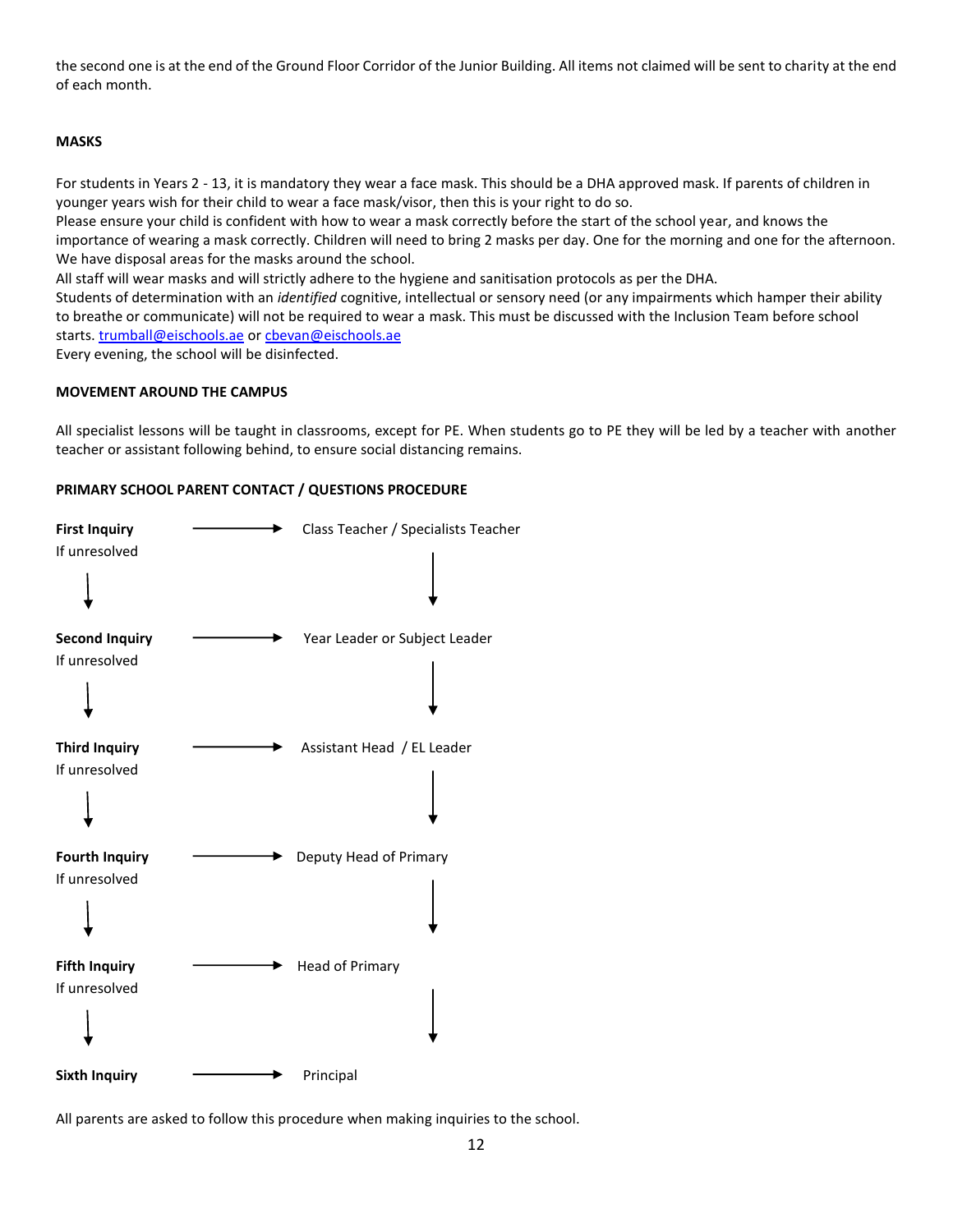the second one is at the end of the Ground Floor Corridor of the Junior Building. All items not claimed will be sent to charity at the end of each month.

#### **MASKS**

For students in Years 2 - 13, it is mandatory they wear a face mask. This should be a DHA approved mask. If parents of children in younger years wish for their child to wear a face mask/visor, then this is your right to do so.

Please ensure your child is confident with how to wear a mask correctly before the start of the school year, and knows the importance of wearing a mask correctly. Children will need to bring 2 masks per day. One for the morning and one for the afternoon. We have disposal areas for the masks around the school.

All staff will wear masks and will strictly adhere to the hygiene and sanitisation protocols as per the DHA.

Students of determination with an *identified* cognitive, intellectual or sensory need (or any impairments which hamper their ability to breathe or communicate) will not be required to wear a mask. This must be discussed with the Inclusion Team before school starts[. trumball@eischools.ae](mailto:trumball@eischools.ae) o[r cbevan@eischools.ae](mailto:cbevan@eischools.ae)

Every evening, the school will be disinfected.

#### **MOVEMENT AROUND THE CAMPUS**

All specialist lessons will be taught in classrooms, except for PE. When students go to PE they will be led by a teacher with another teacher or assistant following behind, to ensure social distancing remains.

#### **PRIMARY SCHOOL PARENT CONTACT / QUESTIONS PROCEDURE**



All parents are asked to follow this procedure when making inquiries to the school.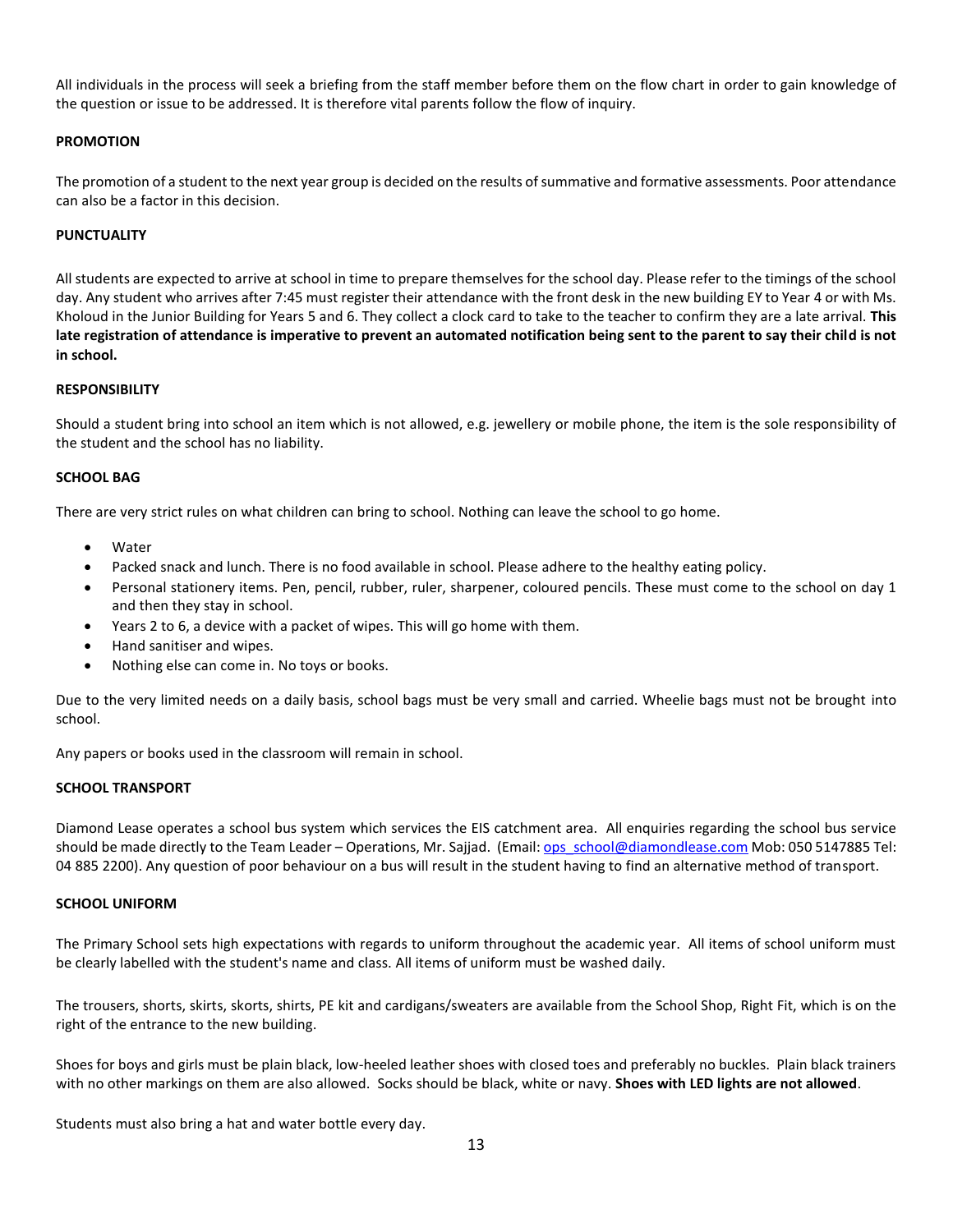All individuals in the process will seek a briefing from the staff member before them on the flow chart in order to gain knowledge of the question or issue to be addressed. It is therefore vital parents follow the flow of inquiry.

#### **PROMOTION**

The promotion of a student to the next year group is decided on the results of summative and formative assessments. Poor attendance can also be a factor in this decision.

#### **PUNCTUALITY**

All students are expected to arrive at school in time to prepare themselves for the school day. Please refer to the timings of the school day. Any student who arrives after 7:45 must register their attendance with the front desk in the new building EY to Year 4 or with Ms. Kholoud in the Junior Building for Years 5 and 6. They collect a clock card to take to the teacher to confirm they are a late arrival. **This late registration of attendance is imperative to prevent an automated notification being sent to the parent to say their child is not in school.** 

#### **RESPONSIBILITY**

Should a student bring into school an item which is not allowed, e.g. jewellery or mobile phone, the item is the sole responsibility of the student and the school has no liability.

#### **SCHOOL BAG**

There are very strict rules on what children can bring to school. Nothing can leave the school to go home.

- Water
- Packed snack and lunch. There is no food available in school. Please adhere to the healthy eating policy.
- Personal stationery items. Pen, pencil, rubber, ruler, sharpener, coloured pencils. These must come to the school on day 1 and then they stay in school.
- Years 2 to 6, a device with a packet of wipes. This will go home with them.
- Hand sanitiser and wipes.
- Nothing else can come in. No toys or books.

Due to the very limited needs on a daily basis, school bags must be very small and carried. Wheelie bags must not be brought into school.

Any papers or books used in the classroom will remain in school.

#### **SCHOOL TRANSPORT**

Diamond Lease operates a school bus system which services the EIS catchment area. All enquiries regarding the school bus service should be made directly to the Team Leader – Operations, Mr. Sajjad. (Email: ops\_schoo[l@diamondlease.com](mailto:operationsmanager@diamondlease.com) Mob: 050 5147885 Tel: 04 885 2200). Any question of poor behaviour on a bus will result in the student having to find an alternative method of transport.

#### **SCHOOL UNIFORM**

The Primary School sets high expectations with regards to uniform throughout the academic year. All items of school uniform must be clearly labelled with the student's name and class. All items of uniform must be washed daily.

The trousers, shorts, skirts, skorts, shirts, PE kit and cardigans/sweaters are available from the School Shop, Right Fit, which is on the right of the entrance to the new building.

Shoes for boys and girls must be plain black, low-heeled leather shoes with closed toes and preferably no buckles. Plain black trainers with no other markings on them are also allowed. Socks should be black, white or navy. **Shoes with LED lights are not allowed**.

Students must also bring a hat and water bottle every day.